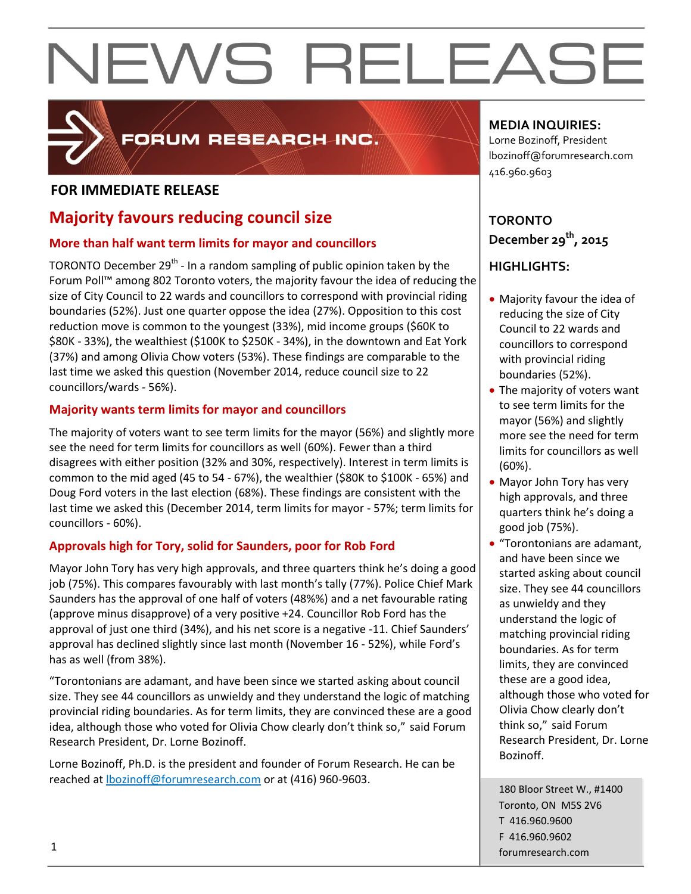

### FORUM RESEARCH INC.

#### **FOR IMMEDIATE RELEASE**

### **Majority favours reducing council size**

#### **More than half want term limits for mayor and councillors**

TORONTO December 29<sup>th</sup> - In a random sampling of public opinion taken by the Forum Poll™ among 802 Toronto voters, the majority favour the idea of reducing the size of City Council to 22 wards and councillors to correspond with provincial riding boundaries (52%). Just one quarter oppose the idea (27%). Opposition to this cost reduction move is common to the youngest (33%), mid income groups (\$60K to \$80K - 33%), the wealthiest (\$100K to \$250K - 34%), in the downtown and Eat York (37%) and among Olivia Chow voters (53%). These findings are comparable to the last time we asked this question (November 2014, reduce council size to 22 councillors/wards - 56%).

#### **Majority wants term limits for mayor and councillors**

The majority of voters want to see term limits for the mayor (56%) and slightly more see the need for term limits for councillors as well (60%). Fewer than a third disagrees with either position (32% and 30%, respectively). Interest in term limits is common to the mid aged (45 to 54 - 67%), the wealthier (\$80K to \$100K - 65%) and Doug Ford voters in the last election (68%). These findings are consistent with the last time we asked this (December 2014, term limits for mayor - 57%; term limits for councillors - 60%).

#### **Approvals high for Tory, solid for Saunders, poor for Rob Ford**

Mayor John Tory has very high approvals, and three quarters think he's doing a good job (75%). This compares favourably with last month's tally (77%). Police Chief Mark Saunders has the approval of one half of voters (48%%) and a net favourable rating (approve minus disapprove) of a very positive +24. Councillor Rob Ford has the approval of just one third (34%), and his net score is a negative -11. Chief Saunders' approval has declined slightly since last month (November 16 - 52%), while Ford's has as well (from 38%).

"Torontonians are adamant, and have been since we started asking about council size. They see 44 councillors as unwieldy and they understand the logic of matching provincial riding boundaries. As for term limits, they are convinced these are a good idea, although those who voted for Olivia Chow clearly don't think so," said Forum Research President, Dr. Lorne Bozinoff.

Lorne Bozinoff, Ph.D. is the president and founder of Forum Research. He can be reached at [lbozinoff@forumresearch.com](mailto:lbozinoff@forumresearch.com) or at (416) 960-9603.

#### **MEDIA INQUIRIES:**

Lorne Bozinoff, President lbozinoff@forumresearch.com 416.960.9603

#### **TORONTO December 29th, 2015**

#### **HIGHLIGHTS:**

- Majority favour the idea of reducing the size of City Council to 22 wards and councillors to correspond with provincial riding boundaries (52%).
- The majority of voters want to see term limits for the mayor (56%) and slightly more see the need for term limits for councillors as well (60%).
- Mayor John Tory has very high approvals, and three quarters think he's doing a good job (75%).
- "Torontonians are adamant, and have been since we started asking about council size. They see 44 councillors as unwieldy and they understand the logic of matching provincial riding boundaries. As for term limits, they are convinced these are a good idea, although those who voted for Olivia Chow clearly don't think so," said Forum Research President, Dr. Lorne Bozinoff.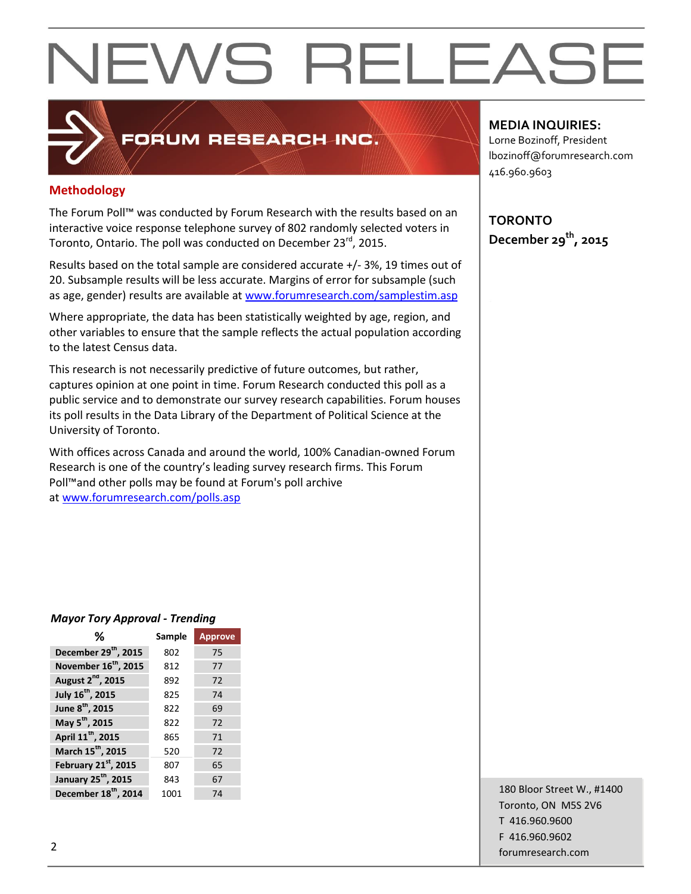### FORUM RESEARCH INC.

#### **Methodology**

The Forum Poll™ was conducted by Forum Research with the results based on an interactive voice response telephone survey of 802 randomly selected voters in Toronto, Ontario. The poll was conducted on December 23rd, 2015.

Results based on the total sample are considered accurate +/- 3%, 19 times out of 20. Subsample results will be less accurate. Margins of error for subsample (such as age, gender) results are available at [www.forumresearch.com/samplestim.asp](http://www.forumresearch.com/samplestim.asp)

Where appropriate, the data has been statistically weighted by age, region, and other variables to ensure that the sample reflects the actual population according to the latest Census data.

This research is not necessarily predictive of future outcomes, but rather, captures opinion at one point in time. Forum Research conducted this poll as a public service and to demonstrate our survey research capabilities. Forum houses its poll results in the Data Library of the Department of Political Science at the University of Toronto.

With offices across Canada and around the world, 100% Canadian-owned Forum Research is one of the country's leading survey research firms. This Forum Poll™and other polls may be found at Forum's poll archive at [www.forumresearch.com/polls.asp](http://www.forumresearch.com/polls.asp)

#### **MEDIA INQUIRIES:**

Lorne Bozinoff, President lbozinoff@forumresearch.com 416.960.9603

**TORONTO December 29th, 2015**

#### *Mayor Tory Approval - Trending*

| ℅                                | Sample | <b>Approve</b> |
|----------------------------------|--------|----------------|
| December 29 <sup>th</sup> , 2015 | 802    | 75             |
| November 16 <sup>th</sup> , 2015 | 812    | 77             |
| August 2 <sup>nd</sup> , 2015    | 892    | 72             |
| July 16 <sup>th</sup> , 2015     | 825    | 74             |
| June 8 <sup>th</sup> , 2015      | 822    | 69             |
| May 5 <sup>th</sup> , 2015       | 822    | 72             |
| April 11 <sup>th</sup> , 2015    | 865    | 71             |
| March 15 <sup>th</sup> , 2015    | 520    | 72             |
| February 21st, 2015              | 807    | 65             |
| January 25 <sup>th</sup> , 2015  | 843    | 67             |
| December 18 <sup>th</sup> , 2014 | 1001   | 74             |

180 Bloor Street W., #1400 Toronto, ON M5S 2V6 T 416.960.9600 F 416.960.9602 example to the contract of the contract of the contract of the contract of the contract of the contract of the contract of the contract of the contract of the contract of the contract of the contract of the contract of the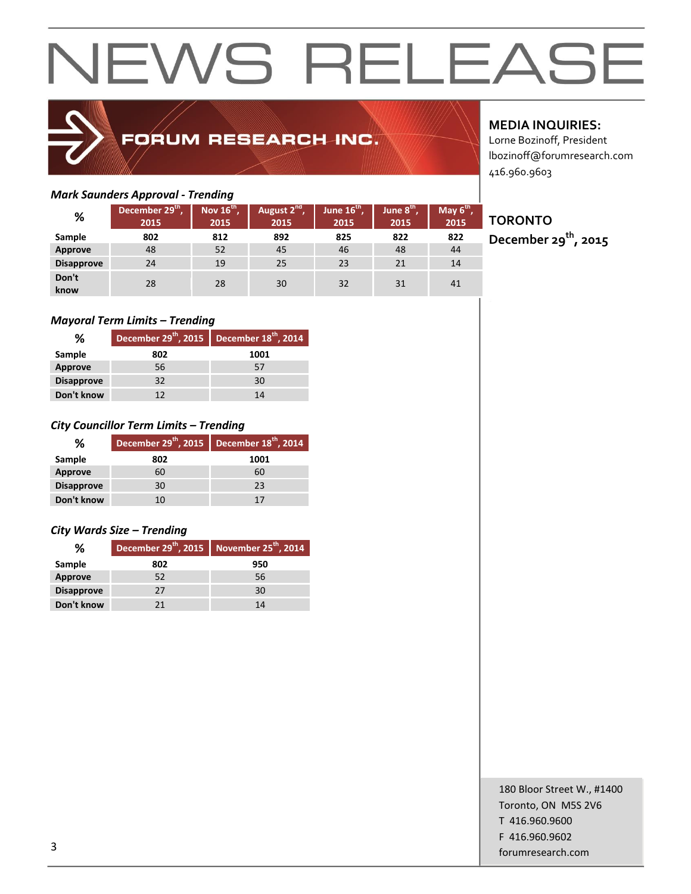### FORUM RESEARCH INC.

#### *Mark Saunders Approval - Trending*

|                   |                                     | -                              |                                  |                               |                      |                               |
|-------------------|-------------------------------------|--------------------------------|----------------------------------|-------------------------------|----------------------|-------------------------------|
| %                 | December 29 <sup>th</sup> ,<br>2015 | Nov 16 <sup>th</sup> ,<br>2015 | August 2 <sup>nd</sup> ,<br>2015 | June $16^{\text{th}}$<br>2015 | June $8th$ ,<br>2015 | May $6^{\text{th}}$ ,<br>2015 |
| <b>Sample</b>     | 802                                 | 812                            | 892                              | 825                           | 822                  | 822                           |
| Approve           | 48                                  | 52                             | 45                               | 46                            | 48                   | 44                            |
| <b>Disapprove</b> | 24                                  | 19                             | 25                               | 23                            | 21                   | 14                            |
| Don't<br>know     | 28                                  | 28                             | 30                               | 32                            | 31                   | 41                            |

#### *Mayoral Term Limits – Trending*

| %                 | December 29 <sup>th</sup> , 2015   December 18 <sup>th</sup> , 2014 |      |
|-------------------|---------------------------------------------------------------------|------|
| Sample            | 802                                                                 | 1001 |
| Approve           | 56                                                                  | 57   |
| <b>Disapprove</b> | 32                                                                  | 30   |
| Don't know        | 12                                                                  | 14   |

#### *City Councillor Term Limits – Trending*

| %                 | December 29 <sup>th</sup> , 2015 | December 18 <sup>th</sup> , 2014 |
|-------------------|----------------------------------|----------------------------------|
| Sample            | 802                              | 1001                             |
| <b>Approve</b>    | 60                               | 60                               |
| <b>Disapprove</b> | 30                               | 23                               |
| Don't know        | 10                               | 17                               |

#### *City Wards Size – Trending*

| %                 |     | December $29^{th}$ , 2015 November $25^{th}$ , 2014 |
|-------------------|-----|-----------------------------------------------------|
| Sample            | 802 | 950                                                 |
| Approve           | 52  | 56                                                  |
| <b>Disapprove</b> | 27  | 30                                                  |
| Don't know        | 21  | 14                                                  |

#### **MEDIA INQUIRIES:**

Lorne Bozinoff, President lbozinoff@forumresearch.com 416.960.9603

### **TORONTO**

**December 29th, 2015**

180 Bloor Street W., #1400 Toronto, ON M5S 2V6 T 416.960.9600 F 416.960.9602 forumresearch.com and the set of the set of the set of the set of the set of the set of the set of the set of the set of the set of the set of the set of the set of the set of the set of the set of the set of the set of th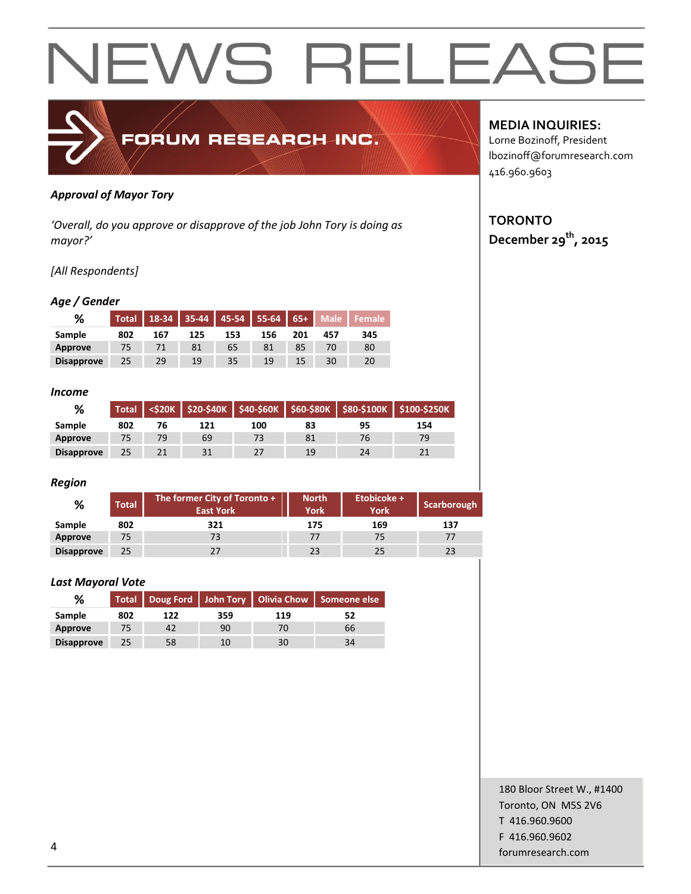

#### *Approval of Mayor Tory*

*'Overall, do you approve or disapprove of the job John Tory is doing as mayor?'*

#### *[All Respondents]*

#### *Age / Gender*

| %                 | <b>Total</b> | 18-34 |     | 35-44 45-54 55-64 |     | $65+$ | <b>Male</b> | Female |
|-------------------|--------------|-------|-----|-------------------|-----|-------|-------------|--------|
| Sample            | 802          | 167   | 125 | 153               | 156 | 201   | 457         | 345    |
| Approve           |              |       | 81  | 65                | 81  | 85    |             | 80     |
| <b>Disapprove</b> | 25           | 29    | 19  | 35                | 19  | 15    | 30          | 20     |

#### *Income*

| %                 | <b>Total</b> |    |     |     |    |    | <\$20K   \$20-\$40K   \$40-\$60K   \$60-\$80K   \$80-\$100K   \$100-\$250K |
|-------------------|--------------|----|-----|-----|----|----|----------------------------------------------------------------------------|
| Sample            | 802          | 76 | 121 | 100 | 83 | 95 | 154                                                                        |
| Approve           | 75           | 79 | 69  | 73  | 81 | 76 | 79                                                                         |
| <b>Disapprove</b> | 25           |    | 31  |     | 19 | 24 |                                                                            |

#### *Region*

| %                 | <b>Total</b> | The former City of Toronto +<br><b>East York</b> | <b>North</b><br><b>York</b> | Etobicoke +<br><b>York</b> | Scarborough |
|-------------------|--------------|--------------------------------------------------|-----------------------------|----------------------------|-------------|
| Sample            | 802          | 321                                              | 175                         | 169                        | 137         |
| Approve           | 75           | 73                                               | 77                          | 75                         | 77          |
| <b>Disapprove</b> | 25           | 27                                               | 23                          | 25                         | 23          |

#### *Last Mayoral Vote*

| %                 |     |     | Total   Doug Ford   John Tory   Olivia Chow   Someone else |     |    |
|-------------------|-----|-----|------------------------------------------------------------|-----|----|
| Sample            | 802 | 122 | 359                                                        | 119 |    |
| Approve           |     |     | 90                                                         | 70  | 66 |
| <b>Disapprove</b> | 25  | 58  | 10                                                         | 30  |    |

#### **MEDIA INQUIRIES:**

Lorne Bozinoff, President lbozinoff@forumresearch.com 416.960.9603

#### **TORONTO December 29th, 2015**

180 Bloor Street W., #1400 Toronto, ON M5S 2V6 T 416.960.9600 F 416.960.9602 example to the contract of the contract of the contract of the contract of the contract of the contract of the contract of the contract of the contract of the contract of the contract of the contract of the contract of the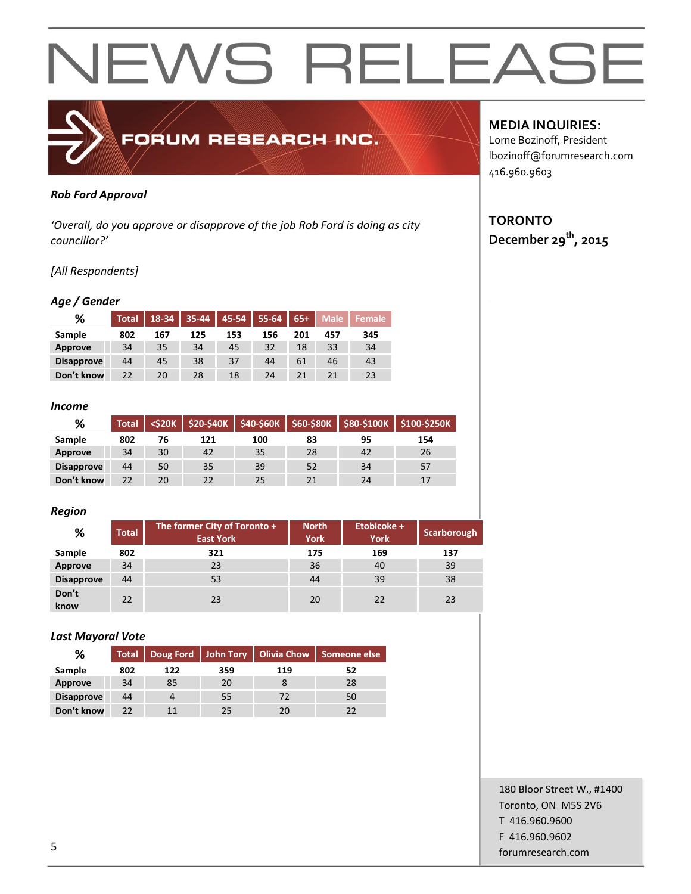

#### *Rob Ford Approval*

*'Overall, do you approve or disapprove of the job Rob Ford is doing as city councillor?'*

#### *[All Respondents]*

#### *Age / Gender*

| %                 | <b>Total</b> | 18-34 | $35 - 44$ | 45-54 | $55 - 64$ | $65+$ | <b>Male</b> | <b>Female</b> |
|-------------------|--------------|-------|-----------|-------|-----------|-------|-------------|---------------|
| Sample            | 802          | 167   | 125       | 153   | 156       | 201   | 457         | 345           |
| <b>Approve</b>    | 34           | 35    | 34        | 45    | 32        | 18    | 33          | 34            |
| <b>Disapprove</b> | 44           | 45    | 38        | 37    | 44        | 61    | 46          | 43            |
| Don't know        | 22           | 20    | 28        | 18    | 24        | 21    | 21          | 23            |

#### *Income*

| %                 | <b>Total</b> |    |     |     |    |    | <\$20K   \$20-\$40K   \$40-\$60K   \$60-\$80K   \$80-\$100K   \$100-\$250K |
|-------------------|--------------|----|-----|-----|----|----|----------------------------------------------------------------------------|
| Sample            | 802          | 76 | 121 | 100 | 83 | 95 | 154                                                                        |
| Approve           | 34           | 30 | 42  | 35  | 28 | 42 | 26                                                                         |
| <b>Disapprove</b> | 44           | 50 | 35  | 39  | 52 | 34 | 57                                                                         |
| Don't know        | 22           | 20 | 22  | 25  | 21 | 24 | 17                                                                         |

#### *Region*

| %                 | <b>Total</b> | The former City of Toronto +<br><b>East York</b> | <b>North</b><br><b>York</b> | Etobicoke +<br><b>York</b> | Scarborough |
|-------------------|--------------|--------------------------------------------------|-----------------------------|----------------------------|-------------|
| Sample            | 802          | 321                                              | 175                         | 169                        | 137         |
| Approve           | 34           | 23                                               | 36                          | 40                         | 39          |
| <b>Disapprove</b> | 44           | 53                                               | 44                          | 39                         | 38          |
| Don't<br>know     | 22           | 23                                               | 20                          | 22                         | 23          |

#### *Last Mayoral Vote*

| %                 |     |     |     |     | Total   Doug Ford   John Tory   Olivia Chow   Someone else |
|-------------------|-----|-----|-----|-----|------------------------------------------------------------|
| Sample            | 802 | 122 | 359 | 119 | 52                                                         |
| Approve           | 34  | 85  | 20  |     | 28                                                         |
| <b>Disapprove</b> | 44  |     | 55  | 72  | 50                                                         |
| Don't know        | つつ  |     | 25  |     | 22                                                         |

#### **MEDIA INQUIRIES:**

Lorne Bozinoff, President lbozinoff@forumresearch.com 416.960.9603

#### **TORONTO December 29th, 2015**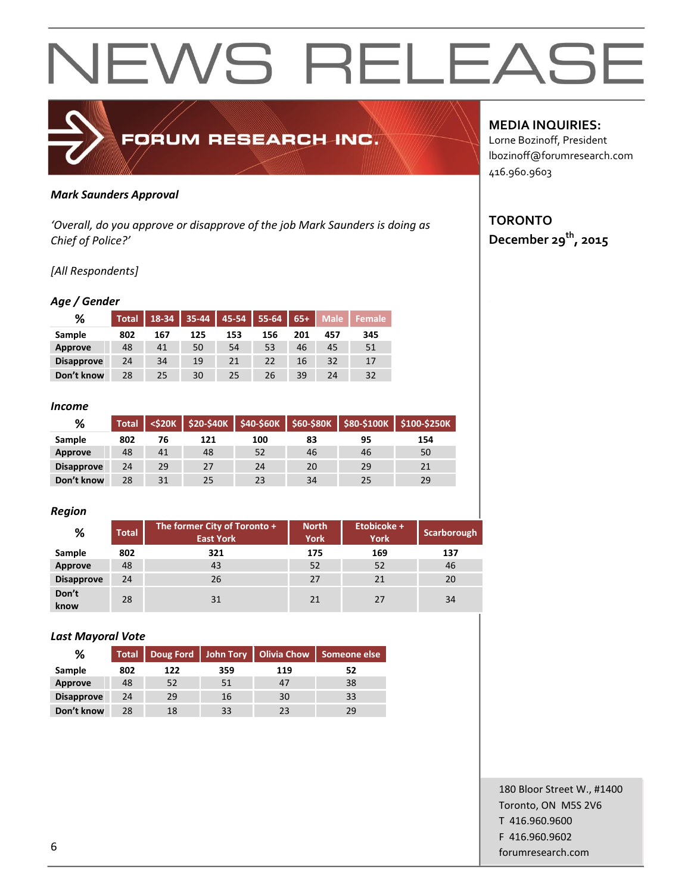

#### *Mark Saunders Approval*

*'Overall, do you approve or disapprove of the job Mark Saunders is doing as Chief of Police?'*

#### *[All Respondents]*

#### *Age / Gender*

| %                 | <b>Total</b> | 18-34 | 35-44 | 45-54 | 55-64 | $65+$ | <b>Male</b> | Female |
|-------------------|--------------|-------|-------|-------|-------|-------|-------------|--------|
| Sample            | 802          | 167   | 125   | 153   | 156   | 201   | 457         | 345    |
| <b>Approve</b>    | 48           | 41    | 50    | 54    | 53    | 46    | 45          | 51     |
| <b>Disapprove</b> | 24           | 34    | 19    | 21    | 22    | 16    | 32          | 17     |
| Don't know        | 28           | 25    | 30    | 25    | 26    | 39    | 24          | 32     |

#### *Income*

| %                 | <b>Total</b> | <b><s20k< b=""></s20k<></b> |     | \$20-\$40K   \$40-\$60K |    |    | $$60-$80K$ $$80-$100K$ $$100-$250K$ |
|-------------------|--------------|-----------------------------|-----|-------------------------|----|----|-------------------------------------|
| Sample            | 802          | 76                          | 121 | 100                     | 83 | 95 | 154                                 |
| Approve           | 48           | 41                          | 48  | 52                      | 46 | 46 | 50                                  |
| <b>Disapprove</b> | 24           | 29                          | 27  | 24                      | 20 | 29 | 21                                  |
| Don't know        | 28           | 31                          | 25  | 23                      | 34 | 25 | 29                                  |

#### *Region*

| %                 | <b>Total</b> | The former City of Toronto +<br><b>East York</b> | <b>North</b><br><b>York</b> | Etobicoke +<br><b>York</b> | Scarborough |
|-------------------|--------------|--------------------------------------------------|-----------------------------|----------------------------|-------------|
| Sample            | 802          | 321                                              | 175                         | 169                        | 137         |
| Approve           | 48           | 43                                               | 52                          | 52                         | 46          |
| <b>Disapprove</b> | 24           | 26                                               | 27                          | 21                         | 20          |
| Don't<br>know     | 28           | 31                                               | 21                          | 27                         | 34          |

#### *Last Mayoral Vote*

| %                 |     | Total   Doug Ford   John Tory   Olivia Chow |     |     | Someone else |
|-------------------|-----|---------------------------------------------|-----|-----|--------------|
| Sample            | 802 | 122                                         | 359 | 119 | 52           |
| Approve           | 48  | 52                                          | 51  |     | 38           |
| <b>Disapprove</b> | 24  | 29                                          | 16  | 30  | 33           |
| Don't know        | 28  | 18                                          | 33  | 23  | 29           |

#### **MEDIA INQUIRIES:**

Lorne Bozinoff, President lbozinoff@forumresearch.com 416.960.9603

#### **TORONTO December 29th, 2015**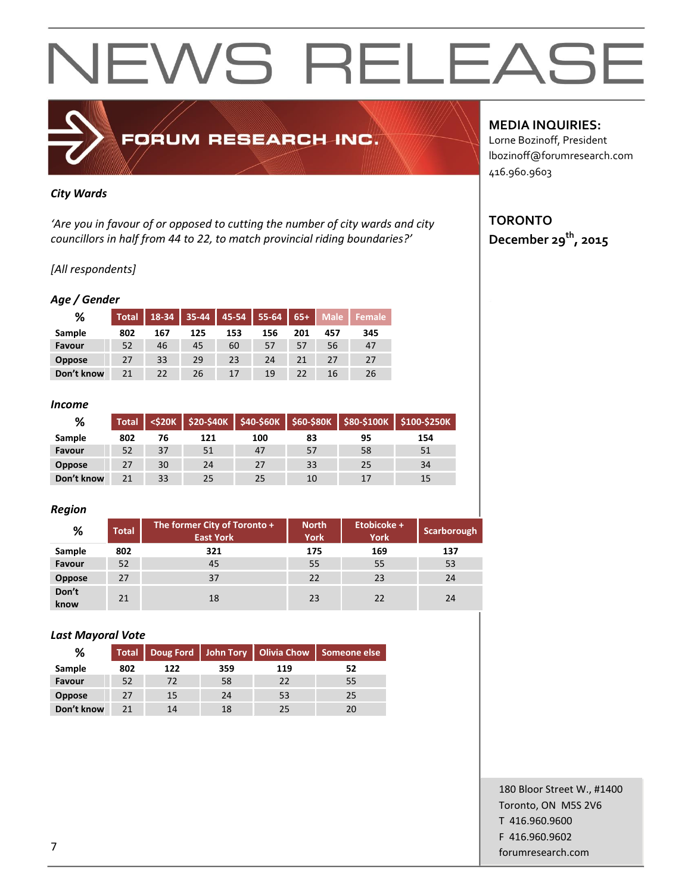### FORUM RESEARCH INC.

#### *City Wards*

*'Are you in favour of or opposed to cutting the number of city wards and city councillors in half from 44 to 22, to match provincial riding boundaries?'*

#### *[All respondents]*

#### *Age / Gender*

| %             | <b>Total</b> | 18-34 | 35-44 | $45 - 54$ | $55 - 64$ | $65+$ | <b>Male</b> | Female |
|---------------|--------------|-------|-------|-----------|-----------|-------|-------------|--------|
| Sample        | 802          | 167   | 125   | 153       | 156       | 201   | 457         | 345    |
| Favour        | 52           | 46    | 45    | 60        | 57        | 57    | 56          | 47     |
| <b>Oppose</b> | 27           | 33    | 29    | 23        | 24        |       | 27          | 27     |
| Don't know    | 21           | 22    | 26    | 17        | 19        | 22    | 16          | 26     |

#### *Income*

| %             | <b>Total</b> | $<$ \$20K $\sqrt{ }$ |     |     |    |    | \$20-\$40K \$40-\$60K \$60-\$80K \$80-\$100K \$100-\$250K |
|---------------|--------------|----------------------|-----|-----|----|----|-----------------------------------------------------------|
| Sample        | 802          | 76                   | 121 | 100 | 83 | 95 | 154                                                       |
| Favour        | 52           | 37                   | 51  | 47  | 57 | 58 | 51                                                        |
| <b>Oppose</b> | 27           | 30                   | 24  | 27  | 33 | 25 | 34                                                        |
| Don't know    | 21           | 33                   | 25  | 25  | 10 | 17 | 15                                                        |

#### *Region*

| %             | <b>Total</b> | The former City of Toronto +<br><b>East York</b> | <b>North</b><br><b>York</b> | Etobicoke +<br><b>York</b> | Scarborough |
|---------------|--------------|--------------------------------------------------|-----------------------------|----------------------------|-------------|
| Sample        | 802          | 321                                              | 175                         | 169                        | 137         |
| Favour        | 52           | 45                                               | 55                          | 55                         | 53          |
| Oppose        | 27           | 37                                               | 22                          | 23                         | 24          |
| Don't<br>know | 21           | 18                                               | 23                          | 22                         | 24          |

#### *Last Mayoral Vote*

| %             |     | Total   Doug Ford   John Tory   Olivia Chow   Someone else |     |     |    |
|---------------|-----|------------------------------------------------------------|-----|-----|----|
| Sample        | 802 | 122                                                        | 359 | 119 | 52 |
| Favour        | 52  | 72                                                         | 58  | 22  | 55 |
| <b>Oppose</b> | 27  | 15                                                         | 24  | 53  | 25 |
| Don't know    | 71  | 14                                                         | 18  | 25  | 20 |

#### **MEDIA INQUIRIES:**

Lorne Bozinoff, President lbozinoff@forumresearch.com 416.960.9603

#### **TORONTO December 29th, 2015**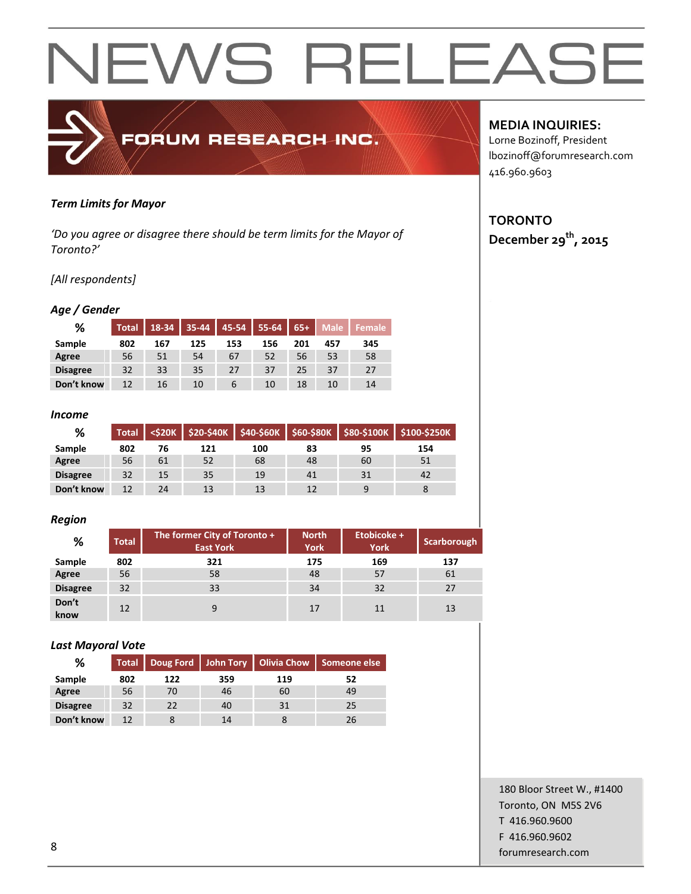#### *Term Limits for Mayor*

*'Do you agree or disagree there should be term limits for the Mayor of Toronto?'*

FORUM RESEARCH INC.

#### *[All respondents]*

#### *Age / Gender*

| %               | <b>Total</b> | 18-34 | 35-44 | 45-54       | 55-64 | $65+$ | <b>Male</b> | <b>Female</b> ' |
|-----------------|--------------|-------|-------|-------------|-------|-------|-------------|-----------------|
| Sample          | 802          | 167   | 125   | 153         | 156   | 201   | 457         | 345             |
| Agree           | 56           | 51    | 54    | 67          | 52    | 56    | 53          | 58              |
| <b>Disagree</b> | 32           | 33    | 35    | 27          | 37    | 25    | 37          | 27              |
| Don't know      | 12           | 16    | 10    | $\mathbf b$ | 10    | 18    | 10          | 14              |

#### *Income*

| %               | <b>Total</b> |    |     |     |    |    | <\$20K   \$20-\$40K   \$40-\$60K   \$60-\$80K   \$80-\$100K   \$100-\$250K |
|-----------------|--------------|----|-----|-----|----|----|----------------------------------------------------------------------------|
| Sample          | 802          | 76 | 121 | 100 | 83 | 95 | 154                                                                        |
| Agree           | 56           | 61 | 52  | 68  | 48 | 60 | 51                                                                         |
| <b>Disagree</b> | 32           | 15 | 35  | 19  | 41 | 31 | 42                                                                         |
| Don't know      | 12           | 24 | 13  | 13  | 12 |    |                                                                            |

#### *Region*

| %               | <b>Total</b> | The former City of Toronto +<br><b>East York</b> | <b>North</b><br><b>York</b> | Etobicoke +<br><b>York</b> | <b>Scarborough</b> |
|-----------------|--------------|--------------------------------------------------|-----------------------------|----------------------------|--------------------|
| Sample          | 802          | 321                                              | 175                         | 169                        | 137                |
| Agree           | 56           | 58                                               | 48                          | 57                         | 61                 |
| <b>Disagree</b> | 32           | 33                                               | 34                          | 32                         | 27                 |
| Don't<br>know   | 12           | 9                                                | 17                          | 11                         | 13                 |

#### *Last Mayoral Vote*

| %               | <b>Total</b> |     |     | Doug Ford   John Tory   Olivia Chow | Someone else |
|-----------------|--------------|-----|-----|-------------------------------------|--------------|
| Sample          | 802          | 122 | 359 | 119                                 | 52           |
| Agree           | 56           | 70  | 46  | 60                                  | 49           |
| <b>Disagree</b> | 32           | 22  | 40  | 31                                  | 25           |
| Don't know      | 12           |     | 14  |                                     | 26           |

#### **MEDIA INQUIRIES:**

Lorne Bozinoff, President lbozinoff@forumresearch.com 416.960.9603

#### **TORONTO December 29th, 2015**

180 Bloor Street W., #1400 Toronto, ON M5S 2V6 T 416.960.9600 F 416.960.9602 end to the state of the state of the state of the state of the state of the state of the state of the state of the state of the state of the state of the state of the state of the state of the state of the state of the sta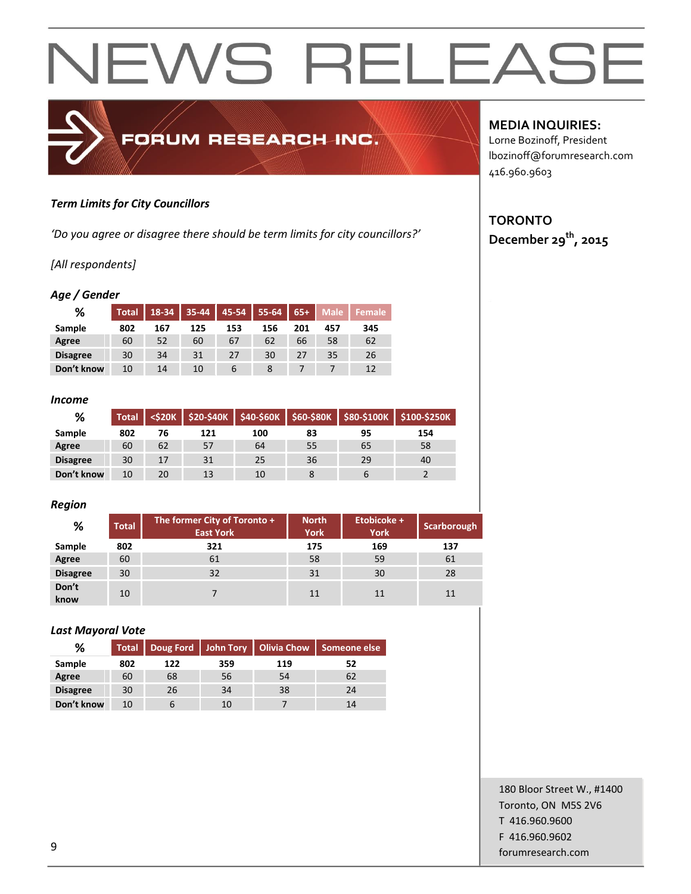#### *Term Limits for City Councillors*

*'Do you agree or disagree there should be term limits for city councillors?'*

FORUM RESEARCH INC.

#### *[All respondents]*

#### *Age / Gender*

| ℅               | <b>Total</b> | $18 - 34$ | $35 - 44$ | $45 - 54$ | 55-64 | $65+$ | <b>Male</b> | ' Female |
|-----------------|--------------|-----------|-----------|-----------|-------|-------|-------------|----------|
| Sample          | 802          | 167       | 125       | 153       | 156   | 201   | 457         | 345      |
| Agree           | 60           | 52        | 60        | 67        | 62    | 66    | 58          | 62       |
| <b>Disagree</b> | 30           | 34        | 31        | 27        | 30    | 27    | 35          | 26       |
| Don't know      | 10           | 14        | 10        |           |       |       |             |          |

#### *Income*

| %               | Total |    |     |     |    |    | <\$20K   \$20-\$40K   \$40-\$60K   \$60-\$80K   \$80-\$100K   \$100-\$250K |
|-----------------|-------|----|-----|-----|----|----|----------------------------------------------------------------------------|
| Sample          | 802   | 76 | 121 | 100 | 83 | 95 | 154                                                                        |
| Agree           | 60    | 62 | 57  | 64  | 55 | 65 | 58                                                                         |
| <b>Disagree</b> | 30    | 17 | 31  | 25  | 36 | 29 | 40                                                                         |
| Don't know      | 10    | 20 | 13  | 10  |    |    |                                                                            |

#### *Region*

| %               | <b>Total</b> | The former City of Toronto +<br><b>East York</b> | <b>North</b><br><b>York</b> | Etobicoke +<br><b>York</b> | Scarborough |
|-----------------|--------------|--------------------------------------------------|-----------------------------|----------------------------|-------------|
| Sample          | 802          | 321                                              | 175                         | 169                        | 137         |
| Agree           | 60           | 61                                               | 58                          | 59                         | 61          |
| <b>Disagree</b> | 30           | 32                                               | 31                          | 30                         | 28          |
| Don't<br>know   | 10           |                                                  | 11                          | 11                         | 11          |

#### *Last Mayoral Vote*

| %               | <b>Total</b> |     |     | Doug Ford   John Tory   Olivia Chow | Someone else |
|-----------------|--------------|-----|-----|-------------------------------------|--------------|
| Sample          | 802          | 122 | 359 | 119                                 | 52           |
| Agree           | 60           | 68  | 56  | 54                                  | 62           |
| <b>Disagree</b> | 30           | 26  | 34  | 38                                  | 24           |
| Don't know      | 10           |     | 10  |                                     | 14           |

#### **MEDIA INQUIRIES:**

Lorne Bozinoff, President lbozinoff@forumresearch.com 416.960.9603

#### **TORONTO December 29th, 2015**